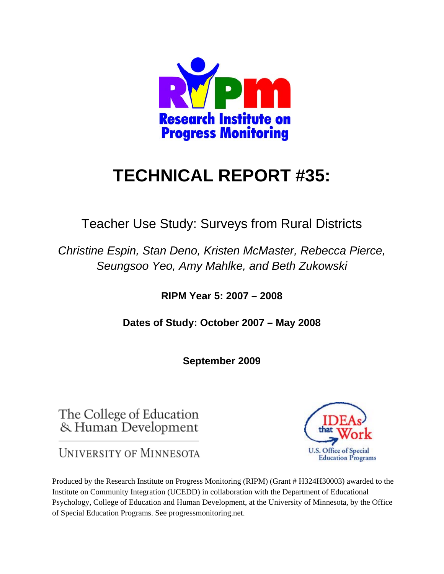

# **TECHNICAL REPORT #35:**

Teacher Use Study: Surveys from Rural Districts

*Christine Espin, Stan Deno, Kristen McMaster, Rebecca Pierce, Seungsoo Yeo, Amy Mahlke, and Beth Zukowski* 

**RIPM Year 5: 2007 – 2008** 

**Dates of Study: October 2007 – May 2008** 

**September 2009** 

The College of Education & Human Development

UNIVERSITY OF MINNESOTA

Produced by the Research Institute on Progress Monitoring (RIPM) (Grant # H324H30003) awarded to the Institute on Community Integration (UCEDD) in collaboration with the Department of Educational Psychology, College of Education and Human Development, at the University of Minnesota, by the Office of Special Education Programs. See progressmonitoring.net.

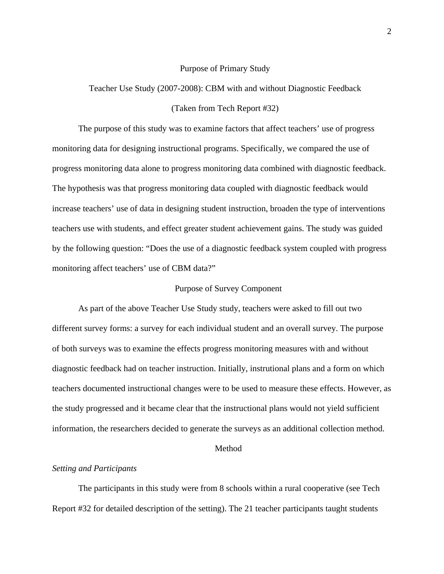#### Purpose of Primary Study

Teacher Use Study (2007-2008): CBM with and without Diagnostic Feedback (Taken from Tech Report #32)

The purpose of this study was to examine factors that affect teachers' use of progress monitoring data for designing instructional programs. Specifically, we compared the use of progress monitoring data alone to progress monitoring data combined with diagnostic feedback. The hypothesis was that progress monitoring data coupled with diagnostic feedback would increase teachers' use of data in designing student instruction, broaden the type of interventions teachers use with students, and effect greater student achievement gains. The study was guided by the following question: "Does the use of a diagnostic feedback system coupled with progress monitoring affect teachers' use of CBM data?"

## Purpose of Survey Component

As part of the above Teacher Use Study study, teachers were asked to fill out two different survey forms: a survey for each individual student and an overall survey. The purpose of both surveys was to examine the effects progress monitoring measures with and without diagnostic feedback had on teacher instruction. Initially, instrutional plans and a form on which teachers documented instructional changes were to be used to measure these effects. However, as the study progressed and it became clear that the instructional plans would not yield sufficient information, the researchers decided to generate the surveys as an additional collection method.

## Method

#### *Setting and Participants*

The participants in this study were from 8 schools within a rural cooperative (see Tech Report #32 for detailed description of the setting). The 21 teacher participants taught students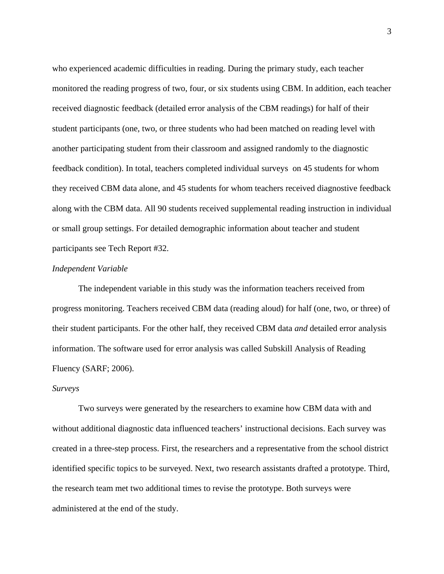who experienced academic difficulties in reading. During the primary study, each teacher monitored the reading progress of two, four, or six students using CBM. In addition, each teacher received diagnostic feedback (detailed error analysis of the CBM readings) for half of their student participants (one, two, or three students who had been matched on reading level with another participating student from their classroom and assigned randomly to the diagnostic feedback condition). In total, teachers completed individual surveys on 45 students for whom they received CBM data alone, and 45 students for whom teachers received diagnostive feedback along with the CBM data. All 90 students received supplemental reading instruction in individual or small group settings. For detailed demographic information about teacher and student participants see Tech Report #32.

## *Independent Variable*

The independent variable in this study was the information teachers received from progress monitoring. Teachers received CBM data (reading aloud) for half (one, two, or three) of their student participants. For the other half, they received CBM data *and* detailed error analysis information. The software used for error analysis was called Subskill Analysis of Reading Fluency (SARF; 2006).

#### *Surveys*

Two surveys were generated by the researchers to examine how CBM data with and without additional diagnostic data influenced teachers' instructional decisions. Each survey was created in a three-step process. First, the researchers and a representative from the school district identified specific topics to be surveyed. Next, two research assistants drafted a prototype. Third, the research team met two additional times to revise the prototype. Both surveys were administered at the end of the study.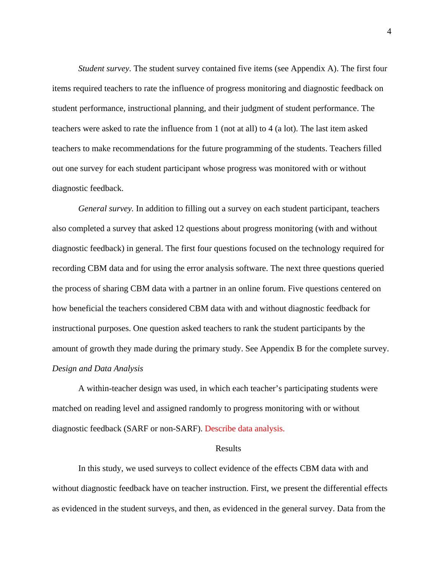*Student survey.* The student survey contained five items (see Appendix A). The first four items required teachers to rate the influence of progress monitoring and diagnostic feedback on student performance, instructional planning, and their judgment of student performance. The teachers were asked to rate the influence from 1 (not at all) to 4 (a lot). The last item asked teachers to make recommendations for the future programming of the students. Teachers filled out one survey for each student participant whose progress was monitored with or without diagnostic feedback.

*General survey.* In addition to filling out a survey on each student participant, teachers also completed a survey that asked 12 questions about progress monitoring (with and without diagnostic feedback) in general. The first four questions focused on the technology required for recording CBM data and for using the error analysis software. The next three questions queried the process of sharing CBM data with a partner in an online forum. Five questions centered on how beneficial the teachers considered CBM data with and without diagnostic feedback for instructional purposes. One question asked teachers to rank the student participants by the amount of growth they made during the primary study. See Appendix B for the complete survey. *Design and Data Analysis* 

A within-teacher design was used, in which each teacher's participating students were matched on reading level and assigned randomly to progress monitoring with or without diagnostic feedback (SARF or non-SARF). Describe data analysis.

#### Results

In this study, we used surveys to collect evidence of the effects CBM data with and without diagnostic feedback have on teacher instruction. First, we present the differential effects as evidenced in the student surveys, and then, as evidenced in the general survey. Data from the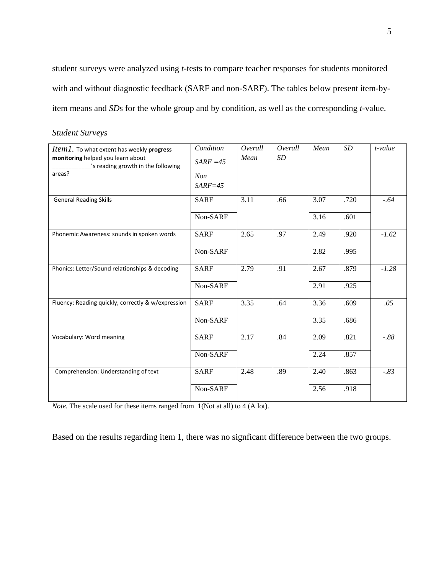student surveys were analyzed using *t-*tests to compare teacher responses for students monitored with and without diagnostic feedback (SARF and non-SARF). The tables below present item-byitem means and *SD*s for the whole group and by condition, as well as the corresponding *t-*value.

| Item1. To what extent has weekly progress<br>monitoring helped you learn about<br>'s reading growth in the following<br>areas? | Condition<br>$SARF = 45$<br><b>Non</b><br>$SARF = 45$ | Overall<br>Mean | Overall<br><i>SD</i> | Mean         | SD           | $t$ -value |
|--------------------------------------------------------------------------------------------------------------------------------|-------------------------------------------------------|-----------------|----------------------|--------------|--------------|------------|
| <b>General Reading Skills</b>                                                                                                  | <b>SARF</b><br>Non-SARF                               | 3.11            | .66                  | 3.07<br>3.16 | .720<br>.601 | $-.64$     |
| Phonemic Awareness: sounds in spoken words                                                                                     | <b>SARF</b><br>Non-SARF                               | 2.65            | .97                  | 2.49<br>2.82 | .920<br>.995 | $-1.62$    |
| Phonics: Letter/Sound relationships & decoding                                                                                 | <b>SARF</b><br>Non-SARF                               | 2.79            | .91                  | 2.67<br>2.91 | .879<br>.925 | $-1.28$    |
| Fluency: Reading quickly, correctly & w/expression                                                                             | <b>SARF</b><br>Non-SARF                               | 3.35            | .64                  | 3.36<br>3.35 | .609<br>.686 | .05        |
| Vocabulary: Word meaning                                                                                                       | <b>SARF</b><br>Non-SARF                               | 2.17            | .84                  | 2.09<br>2.24 | .821<br>.857 | $-0.88$    |
| Comprehension: Understanding of text                                                                                           | <b>SARF</b><br>Non-SARF                               | 2.48            | .89                  | 2.40<br>2.56 | .863<br>.918 | $-.83$     |

*Note.* The scale used for these items ranged from 1(Not at all) to 4 (A lot).

Based on the results regarding item 1, there was no signficant difference between the two groups.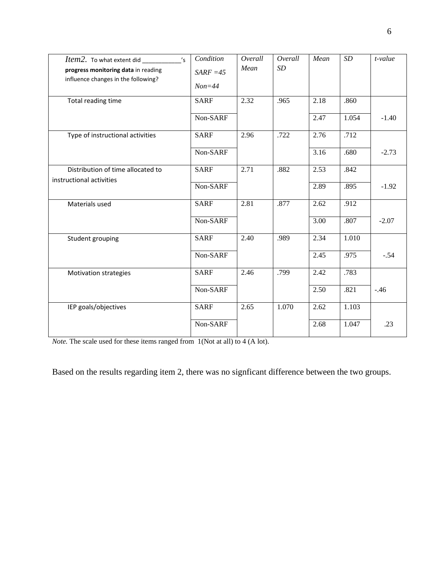| s'<br>Item2. To what extent did<br>progress monitoring data in reading<br>influence changes in the following? | Condition<br>$SARF = 45$<br>$Non=44$ | Overall<br>Mean | Overall<br>SD | Mean | $\cal SD$ | t-value |
|---------------------------------------------------------------------------------------------------------------|--------------------------------------|-----------------|---------------|------|-----------|---------|
| Total reading time                                                                                            | <b>SARF</b>                          | 2.32            | .965          | 2.18 | .860      |         |
|                                                                                                               | Non-SARF                             |                 |               | 2.47 | 1.054     | $-1.40$ |
| Type of instructional activities                                                                              | <b>SARF</b>                          | 2.96            | .722          | 2.76 | .712      |         |
|                                                                                                               | Non-SARF                             |                 |               | 3.16 | .680      | $-2.73$ |
| Distribution of time allocated to                                                                             | <b>SARF</b>                          | 2.71            | .882          | 2.53 | .842      |         |
| instructional activities                                                                                      | Non-SARF                             |                 |               | 2.89 | .895      | $-1.92$ |
| Materials used                                                                                                | <b>SARF</b>                          | 2.81            | .877          | 2.62 | .912      |         |
|                                                                                                               | Non-SARF                             |                 |               | 3.00 | .807      | $-2.07$ |
| Student grouping                                                                                              | <b>SARF</b>                          | 2.40            | .989          | 2.34 | 1.010     |         |
|                                                                                                               | Non-SARF                             |                 |               | 2.45 | .975      | $-.54$  |
| Motivation strategies                                                                                         | <b>SARF</b>                          | 2.46            | .799          | 2.42 | .783      |         |
|                                                                                                               | Non-SARF                             |                 |               | 2.50 | .821      | $-.46$  |
| IEP goals/objectives                                                                                          | <b>SARF</b>                          | 2.65            | 1.070         | 2.62 | 1.103     |         |
|                                                                                                               | Non-SARF                             |                 |               | 2.68 | 1.047     | .23     |

*Note.* The scale used for these items ranged from 1(Not at all) to 4 (A lot).

Based on the results regarding item 2, there was no signficant difference between the two groups.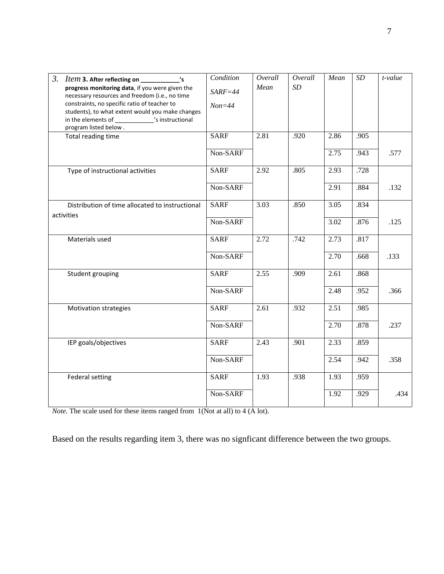| 3. Item 3. After reflecting on __________<br>$^{\prime}$ s                                     | Condition   | Overall | Overall | Mean | $\cal SD$ | t-value |
|------------------------------------------------------------------------------------------------|-------------|---------|---------|------|-----------|---------|
| progress monitoring data, if you were given the                                                | $SARF = 44$ | Mean    | SD      |      |           |         |
| necessary resources and freedom (i.e., no time<br>constraints, no specific ratio of teacher to | $Non=44$    |         |         |      |           |         |
| students), to what extent would you make changes                                               |             |         |         |      |           |         |
| in the elements of ______________'s instructional<br>program listed below.                     |             |         |         |      |           |         |
| Total reading time                                                                             | <b>SARF</b> | 2.81    | .920    | 2.86 | .905      |         |
|                                                                                                | Non-SARF    |         |         | 2.75 | .943      | .577    |
| Type of instructional activities                                                               | <b>SARF</b> | 2.92    | .805    | 2.93 | .728      |         |
|                                                                                                | Non-SARF    |         |         | 2.91 | .884      | .132    |
| Distribution of time allocated to instructional                                                | <b>SARF</b> | 3.03    | .850    | 3.05 | .834      |         |
| activities                                                                                     | Non-SARF    |         |         | 3.02 | .876      | .125    |
| Materials used                                                                                 | <b>SARF</b> | 2.72    | .742    | 2.73 | .817      |         |
|                                                                                                | Non-SARF    |         |         | 2.70 | .668      | .133    |
| Student grouping                                                                               | <b>SARF</b> | 2.55    | .909    | 2.61 | .868      |         |
|                                                                                                | Non-SARF    |         |         | 2.48 | .952      | .366    |
| <b>Motivation strategies</b>                                                                   | <b>SARF</b> | 2.61    | .932    | 2.51 | .985      |         |
|                                                                                                | Non-SARF    |         |         | 2.70 | .878      | .237    |
| IEP goals/objectives                                                                           | <b>SARF</b> | 2.43    | .901    | 2.33 | .859      |         |
|                                                                                                | Non-SARF    |         |         | 2.54 | .942      | .358    |
| <b>Federal setting</b>                                                                         | <b>SARF</b> | 1.93    | .938    | 1.93 | .959      |         |
|                                                                                                | Non-SARF    |         |         | 1.92 | .929      | .434    |

*Note.* The scale used for these items ranged from 1(Not at all) to 4 (A lot).

Based on the results regarding item 3, there was no signficant difference between the two groups.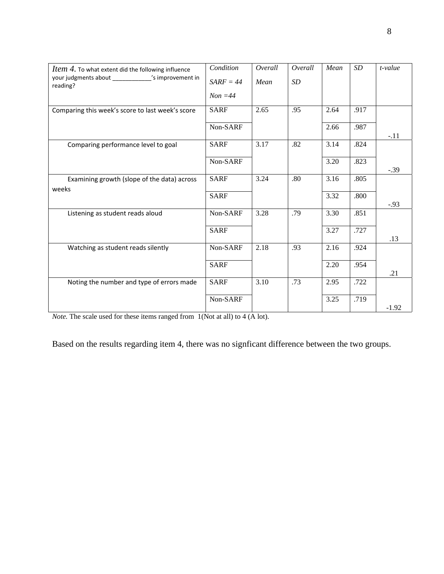| Item 4. To what extent did the following influence             | Condition   | Overall | Overall | Mean | SD   | t-value |
|----------------------------------------------------------------|-------------|---------|---------|------|------|---------|
| your judgments about ____________'s improvement in<br>reading? | $SARF = 44$ | Mean    | SD      |      |      |         |
|                                                                | $Non = 44$  |         |         |      |      |         |
| Comparing this week's score to last week's score               | <b>SARF</b> | 2.65    | .95     | 2.64 | .917 |         |
|                                                                | Non-SARF    |         |         | 2.66 | .987 | $-.11$  |
| Comparing performance level to goal                            | <b>SARF</b> | 3.17    | .82     | 3.14 | .824 |         |
|                                                                | Non-SARF    |         |         | 3.20 | .823 | $-.39$  |
| Examining growth (slope of the data) across<br>weeks           | <b>SARF</b> | 3.24    | .80     | 3.16 | .805 |         |
|                                                                | <b>SARF</b> |         |         | 3.32 | .800 | $-.93$  |
| Listening as student reads aloud                               | Non-SARF    | 3.28    | .79     | 3.30 | .851 |         |
|                                                                | <b>SARF</b> |         |         | 3.27 | .727 | .13     |
| Watching as student reads silently                             | Non-SARF    | 2.18    | .93     | 2.16 | .924 |         |
|                                                                | <b>SARF</b> |         |         | 2.20 | .954 | .21     |
| Noting the number and type of errors made                      | <b>SARF</b> | 3.10    | .73     | 2.95 | .722 |         |
|                                                                | Non-SARF    |         |         | 3.25 | .719 | $-1.92$ |
|                                                                |             |         |         |      |      |         |

*Note.* The scale used for these items ranged from 1(Not at all) to 4 (A lot).

Based on the results regarding item 4, there was no signficant difference between the two groups.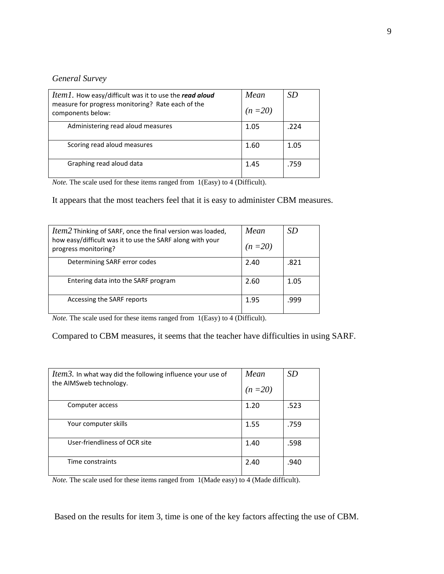## *General Survey*

| <i>Item1</i> . How easy/difficult was it to use the read aloud<br>measure for progress monitoring? Rate each of the<br>components below: | Mean<br>$(n=20)$ | SD   |
|------------------------------------------------------------------------------------------------------------------------------------------|------------------|------|
| Administering read aloud measures                                                                                                        | 1.05             | .224 |
| Scoring read aloud measures                                                                                                              | 1.60             | 1.05 |
| Graphing read aloud data                                                                                                                 | 1.45             | .759 |

*Note.* The scale used for these items ranged from 1(Easy) to 4 (Difficult).

It appears that the most teachers feel that it is easy to administer CBM measures.

| <i>Item2</i> Thinking of SARF, once the final version was loaded,<br>how easy/difficult was it to use the SARF along with your<br>progress monitoring? | Mean<br>$(n=20)$ | SD   |
|--------------------------------------------------------------------------------------------------------------------------------------------------------|------------------|------|
| Determining SARF error codes                                                                                                                           | 2.40             | .821 |
| Entering data into the SARF program                                                                                                                    | 2.60             | 1.05 |
| Accessing the SARF reports                                                                                                                             | 1.95             | .999 |

*Note.* The scale used for these items ranged from 1(Easy) to 4 (Difficult).

Compared to CBM measures, it seems that the teacher have difficulties in using SARF.

| <i>Item3</i> . In what way did the following influence your use of<br>the AIMSweb technology. | Mean<br>$(n=20)$ | <i>SD</i> |
|-----------------------------------------------------------------------------------------------|------------------|-----------|
| Computer access                                                                               | 1.20             | .523      |
| Your computer skills                                                                          | 1.55             | .759      |
| User-friendliness of OCR site                                                                 | 1.40             | .598      |
| Time constraints                                                                              | 2.40             | .940      |

*Note.* The scale used for these items ranged from 1(Made easy) to 4 (Made difficult).

Based on the results for item 3, time is one of the key factors affecting the use of CBM.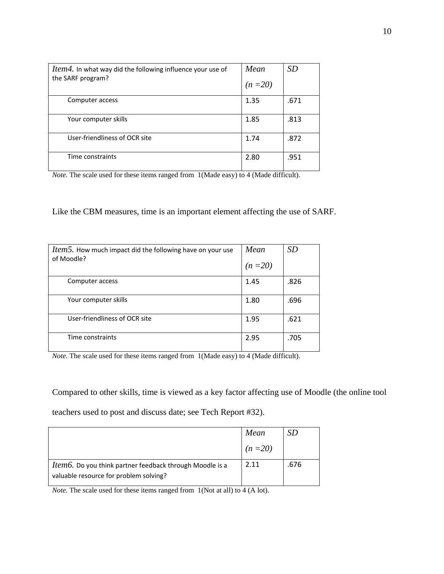| <i>Item4</i> . In what way did the following influence your use of<br>the SARF program? | Mean<br>$(n=20)$ | SD   |
|-----------------------------------------------------------------------------------------|------------------|------|
| Computer access                                                                         | 1.35             | .671 |
| Your computer skills                                                                    | 1.85             | .813 |
| User-friendliness of OCR site                                                           | 1.74             | .872 |
| Time constraints                                                                        | 2.80             | .951 |

*Note.* The scale used for these items ranged from 1(Made easy) to 4 (Made difficult).

Like the CBM measures, time is an important element affecting the use of SARF.

| <i>Item5</i> . How much impact did the following have on your use<br>of Moodle? | Mean<br>$(n=20)$ | <i>SD</i> |
|---------------------------------------------------------------------------------|------------------|-----------|
| Computer access                                                                 | 1.45             | .826      |
| Your computer skills                                                            | 1.80             | .696      |
| User-friendliness of OCR site                                                   | 1.95             | .621      |
| Time constraints                                                                | 2.95             | .705      |

*Note*. The scale used for these items ranged from 1(Made easy) to 4 (Made difficult).

Compared to other skills, time is viewed as a key factor affecting use of Moodle (the online tool

teachers used to post and discuss date; see Tech Report #32).

|                                                                                                            | Mean     | SD   |
|------------------------------------------------------------------------------------------------------------|----------|------|
|                                                                                                            | $(n=20)$ |      |
| <i>Item6</i> . Do you think partner feedback through Moodle is a<br>valuable resource for problem solving? | 2.11     | .676 |

*Note.* The scale used for these items ranged from 1(Not at all) to 4 (A lot).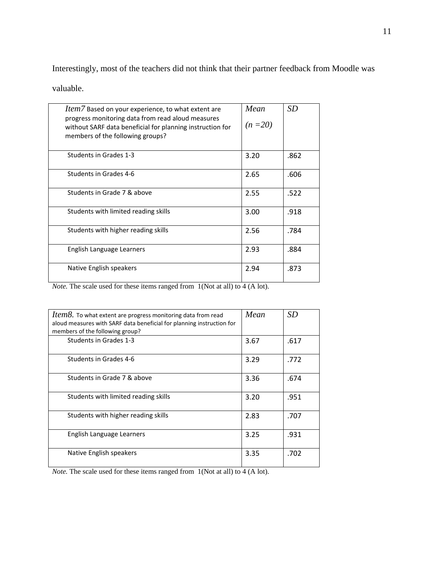Interestingly, most of the teachers did not think that their partner feedback from Moodle was

valuable.

| <i>Item</i> 7 Based on your experience, to what extent are<br>progress monitoring data from read aloud measures<br>without SARF data beneficial for planning instruction for<br>members of the following groups? | Mean<br>$(n=20)$ | <b>SD</b> |
|------------------------------------------------------------------------------------------------------------------------------------------------------------------------------------------------------------------|------------------|-----------|
| Students in Grades 1-3                                                                                                                                                                                           | 3.20             | .862      |
| Students in Grades 4-6                                                                                                                                                                                           | 2.65             | .606      |
| Students in Grade 7 & above                                                                                                                                                                                      | 2.55             | .522      |
| Students with limited reading skills                                                                                                                                                                             | 3.00             | .918      |
| Students with higher reading skills                                                                                                                                                                              | 2.56             | .784      |
| English Language Learners                                                                                                                                                                                        | 2.93             | .884      |
| Native English speakers                                                                                                                                                                                          | 2.94             | .873      |

*Note.* The scale used for these items ranged from 1(Not at all) to 4 (A lot).

| <i>Item8</i> . To what extent are progress monitoring data from read<br>aloud measures with SARF data beneficial for planning instruction for<br>members of the following group? | Mean | <i>SD</i> |
|----------------------------------------------------------------------------------------------------------------------------------------------------------------------------------|------|-----------|
| Students in Grades 1-3                                                                                                                                                           | 3.67 | .617      |
| Students in Grades 4-6                                                                                                                                                           | 3.29 | .772      |
| Students in Grade 7 & above                                                                                                                                                      | 3.36 | .674      |
| Students with limited reading skills                                                                                                                                             | 3.20 | .951      |
| Students with higher reading skills                                                                                                                                              | 2.83 | .707      |
| English Language Learners                                                                                                                                                        | 3.25 | .931      |
| Native English speakers                                                                                                                                                          | 3.35 | .702      |

*Note.* The scale used for these items ranged from 1(Not at all) to 4 (A lot).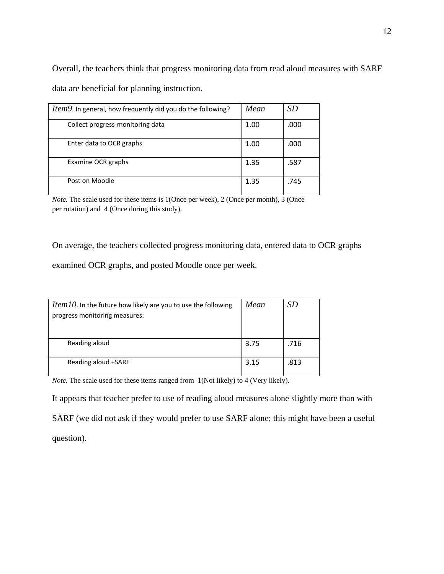Overall, the teachers think that progress monitoring data from read aloud measures with SARF data are beneficial for planning instruction.

| <i>Item9</i> . In general, how frequently did you do the following? | Mean | SD   |
|---------------------------------------------------------------------|------|------|
| Collect progress-monitoring data                                    | 1.00 | .000 |
| Enter data to OCR graphs                                            | 1.00 | .000 |
| Examine OCR graphs                                                  | 1.35 | .587 |
| Post on Moodle                                                      | 1.35 | .745 |

*Note.* The scale used for these items is 1(Once per week), 2 (Once per month), 3 (Once per rotation) and 4 (Once during this study).

On average, the teachers collected progress monitoring data, entered data to OCR graphs

examined OCR graphs, and posted Moodle once per week.

| <i>Item 10.</i> In the future how likely are you to use the following<br>progress monitoring measures: | Mean | SD   |
|--------------------------------------------------------------------------------------------------------|------|------|
| Reading aloud                                                                                          | 3.75 | .716 |
| Reading aloud +SARF                                                                                    | 3.15 | .813 |

*Note.* The scale used for these items ranged from 1(Not likely) to 4 (Very likely).

It appears that teacher prefer to use of reading aloud measures alone slightly more than with SARF (we did not ask if they would prefer to use SARF alone; this might have been a useful question).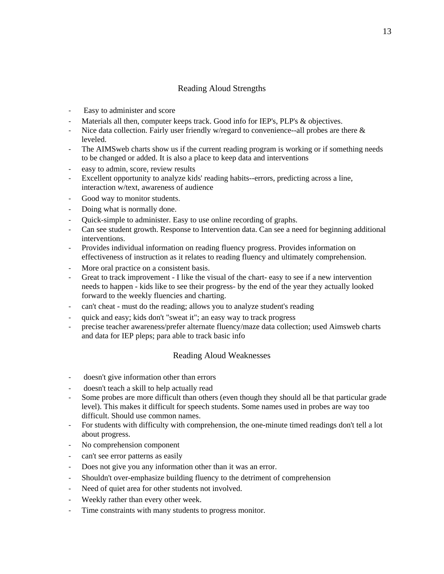# Reading Aloud Strengths

- ‐ Easy to administer and score
- Materials all then, computer keeps track. Good info for IEP's, PLP's & objectives.
- Nice data collection. Fairly user friendly w/regard to convenience--all probes are there  $\&$ leveled.
- ‐ The AIMSweb charts show us if the current reading program is working or if something needs to be changed or added. It is also a place to keep data and interventions
- ‐ easy to admin, score, review results
- ‐ Excellent opportunity to analyze kids' reading habits--errors, predicting across a line, interaction w/text, awareness of audience
- Good way to monitor students.
- ‐ Doing what is normally done.
- ‐ Quick-simple to administer. Easy to use online recording of graphs.
- ‐ Can see student growth. Response to Intervention data. Can see a need for beginning additional interventions.
- ‐ Provides individual information on reading fluency progress. Provides information on effectiveness of instruction as it relates to reading fluency and ultimately comprehension.
- More oral practice on a consistent basis.
- ‐ Great to track improvement I like the visual of the chart- easy to see if a new intervention needs to happen - kids like to see their progress- by the end of the year they actually looked forward to the weekly fluencies and charting.
- ‐ can't cheat must do the reading; allows you to analyze student's reading
- ‐ quick and easy; kids don't "sweat it"; an easy way to track progress
- ‐ precise teacher awareness/prefer alternate fluency/maze data collection; used Aimsweb charts and data for IEP pleps; para able to track basic info

# Reading Aloud Weaknesses

- ‐ doesn't give information other than errors
- ‐ doesn't teach a skill to help actually read
- Some probes are more difficult than others (even though they should all be that particular grade level). This makes it difficult for speech students. Some names used in probes are way too difficult. Should use common names.
- ‐ For students with difficulty with comprehension, the one-minute timed readings don't tell a lot about progress.
- ‐ No comprehension component
- ‐ can't see error patterns as easily
- Does not give you any information other than it was an error.
- ‐ Shouldn't over-emphasize building fluency to the detriment of comprehension
- Need of quiet area for other students not involved.
- Weekly rather than every other week.
- ‐ Time constraints with many students to progress monitor.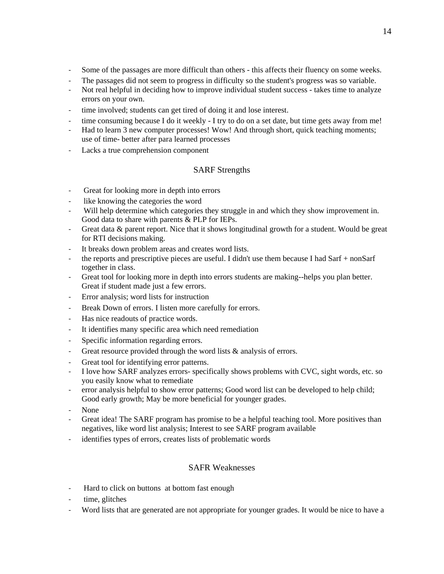- ‐ Some of the passages are more difficult than others this affects their fluency on some weeks.
- ‐ The passages did not seem to progress in difficulty so the student's progress was so variable.
- Not real helpful in deciding how to improve individual student success takes time to analyze errors on your own.
- ‐ time involved; students can get tired of doing it and lose interest.
- time consuming because I do it weekly I try to do on a set date, but time gets away from me!
- ‐ Had to learn 3 new computer processes! Wow! And through short, quick teaching moments; use of time- better after para learned processes
- ‐ Lacks a true comprehension component

# SARF Strengths

- ‐ Great for looking more in depth into errors
- ‐ like knowing the categories the word
- Will help determine which categories they struggle in and which they show improvement in. Good data to share with parents & PLP for IEPs.
- ‐ Great data & parent report. Nice that it shows longitudinal growth for a student. Would be great for RTI decisions making.
- ‐ It breaks down problem areas and creates word lists.
- ‐ the reports and prescriptive pieces are useful. I didn't use them because I had Sarf + nonSarf together in class.
- ‐ Great tool for looking more in depth into errors students are making--helps you plan better. Great if student made just a few errors.
- ‐ Error analysis; word lists for instruction
- ‐ Break Down of errors. I listen more carefully for errors.
- ‐ Has nice readouts of practice words.
- ‐ It identifies many specific area which need remediation
- ‐ Specific information regarding errors.
- Great resource provided through the word lists & analysis of errors.
- Great tool for identifying error patterns.
- ‐ I love how SARF analyzes errors- specifically shows problems with CVC, sight words, etc. so you easily know what to remediate
- ‐ error analysis helpful to show error patterns; Good word list can be developed to help child; Good early growth; May be more beneficial for younger grades.
- ‐ None
- Great idea! The SARF program has promise to be a helpful teaching tool. More positives than negatives, like word list analysis; Interest to see SARF program available
- ‐ identifies types of errors, creates lists of problematic words

# SAFR Weaknesses

- ‐ Hard to click on buttons at bottom fast enough
- time, glitches
- ‐ Word lists that are generated are not appropriate for younger grades. It would be nice to have a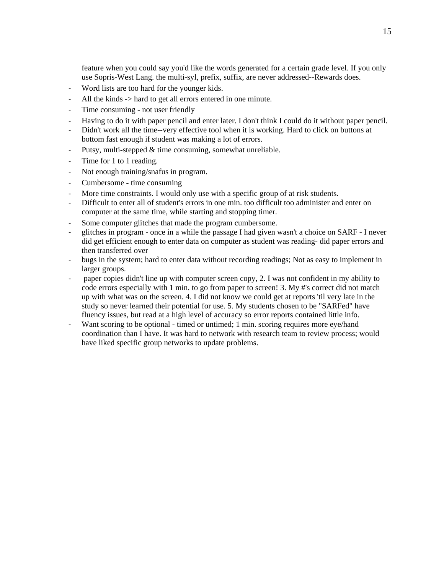feature when you could say you'd like the words generated for a certain grade level. If you only use Sopris-West Lang. the multi-syl, prefix, suffix, are never addressed--Rewards does.

- ‐ Word lists are too hard for the younger kids.
- All the kinds  $\rightarrow$  hard to get all errors entered in one minute.
- ‐ Time consuming not user friendly
- ‐ Having to do it with paper pencil and enter later. I don't think I could do it without paper pencil.
- ‐ Didn't work all the time--very effective tool when it is working. Hard to click on buttons at bottom fast enough if student was making a lot of errors.
- ‐ Putsy, multi-stepped & time consuming, somewhat unreliable.
- Time for 1 to 1 reading.
- ‐ Not enough training/snafus in program.
- ‐ Cumbersome time consuming
- ‐ More time constraints. I would only use with a specific group of at risk students.
- ‐ Difficult to enter all of student's errors in one min. too difficult too administer and enter on computer at the same time, while starting and stopping timer.
- ‐ Some computer glitches that made the program cumbersome.
- ‐ glitches in program once in a while the passage I had given wasn't a choice on SARF I never did get efficient enough to enter data on computer as student was reading- did paper errors and then transferred over
- ‐ bugs in the system; hard to enter data without recording readings; Not as easy to implement in larger groups.
- ‐ paper copies didn't line up with computer screen copy, 2. I was not confident in my ability to code errors especially with 1 min. to go from paper to screen! 3. My #'s correct did not match up with what was on the screen. 4. I did not know we could get at reports 'til very late in the study so never learned their potential for use. 5. My students chosen to be "SARFed" have fluency issues, but read at a high level of accuracy so error reports contained little info.
- ‐ Want scoring to be optional timed or untimed; 1 min. scoring requires more eye/hand coordination than I have. It was hard to network with research team to review process; would have liked specific group networks to update problems.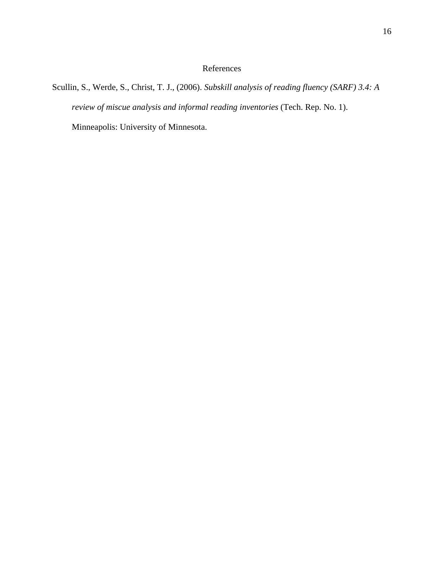# References

Scullin, S., Werde, S., Christ, T. J., (2006). *Subskill analysis of reading fluency (SARF) 3.4: A review of miscue analysis and informal reading inventories* (Tech. Rep. No. 1). Minneapolis: University of Minnesota.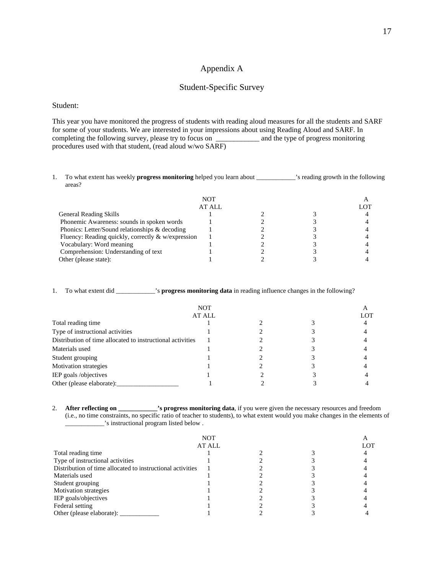# Appendix A

## Student-Specific Survey

#### Student:

This year you have monitored the progress of students with reading aloud measures for all the students and SARF for some of your students. We are interested in your impressions about using Reading Aloud and SARF. In completing the following survey, please try to focus on \_\_\_\_\_\_\_\_\_\_\_\_ and the type of progress monitoring procedures used with that student, (read aloud w/wo SARF)

1. To what extent has weekly **progress monitoring** helped you learn about \_\_\_\_\_\_\_\_\_\_\_\_'s reading growth in the following areas?

| NOT                                                |        |  |  |  |
|----------------------------------------------------|--------|--|--|--|
|                                                    | AT ALL |  |  |  |
| <b>General Reading Skills</b>                      |        |  |  |  |
| Phonemic Awareness: sounds in spoken words         |        |  |  |  |
| Phonics: Letter/Sound relationships & decoding     |        |  |  |  |
| Fluency: Reading quickly, correctly & w/expression |        |  |  |  |
| Vocabulary: Word meaning                           |        |  |  |  |
| Comprehension: Understanding of text               |        |  |  |  |
| Other (please state):                              |        |  |  |  |

1. To what extent did \_\_\_\_\_\_\_\_\_\_\_\_'s **progress monitoring data** in reading influence changes in the following?

| NOT<br>AT ALL                                              |  |  |  |  |
|------------------------------------------------------------|--|--|--|--|
|                                                            |  |  |  |  |
| Type of instructional activities                           |  |  |  |  |
| Distribution of time allocated to instructional activities |  |  |  |  |
| Materials used                                             |  |  |  |  |
| Student grouping                                           |  |  |  |  |
| Motivation strategies                                      |  |  |  |  |
| IEP goals /objectives                                      |  |  |  |  |
| Other (please elaborate):                                  |  |  |  |  |

2. **After reflecting on \_\_\_\_\_\_\_\_\_\_\_\_'s progress monitoring data**, if you were given the necessary resources and freedom (i.e., no time constraints, no specific ratio of teacher to students), to what extent would you make changes in the elements of \_\_\_\_\_\_\_\_\_\_\_\_'s instructional program listed below .

| <b>NOT</b>                                                 |  |  |  |  |
|------------------------------------------------------------|--|--|--|--|
| AT ALL                                                     |  |  |  |  |
| Total reading time                                         |  |  |  |  |
| Type of instructional activities                           |  |  |  |  |
| Distribution of time allocated to instructional activities |  |  |  |  |
| Materials used                                             |  |  |  |  |
| Student grouping                                           |  |  |  |  |
| Motivation strategies                                      |  |  |  |  |
| IEP goals/objectives                                       |  |  |  |  |
| Federal setting                                            |  |  |  |  |
| Other (please elaborate):                                  |  |  |  |  |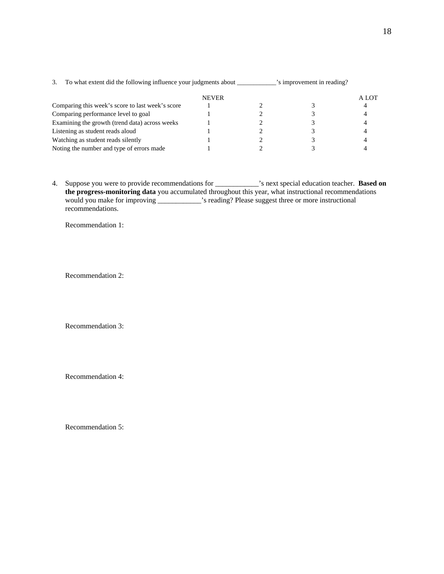|                                                  | <b>NEVER</b> |  | A LOT |
|--------------------------------------------------|--------------|--|-------|
| Comparing this week's score to last week's score |              |  |       |
| Comparing performance level to goal              |              |  |       |
| Examining the growth (trend data) across weeks   |              |  |       |
| Listening as student reads aloud                 |              |  |       |
| Watching as student reads silently               |              |  |       |
| Noting the number and type of errors made        |              |  |       |

3. To what extent did the following influence your judgments about \_\_\_\_\_\_\_\_\_\_\_\_'s improvement in reading?

4. Suppose you were to provide recommendations for \_\_\_\_\_\_\_\_\_\_\_\_'s next special education teacher. **Based on the progress-monitoring data** you accumulated throughout this year, what instructional recommendations would you make for improving \_\_\_\_\_\_\_\_\_\_\_\_'s reading? Please suggest three or more instructional recommendations.

Recommendation 1:

Recommendation 2:

Recommendation 3:

Recommendation 4:

Recommendation 5: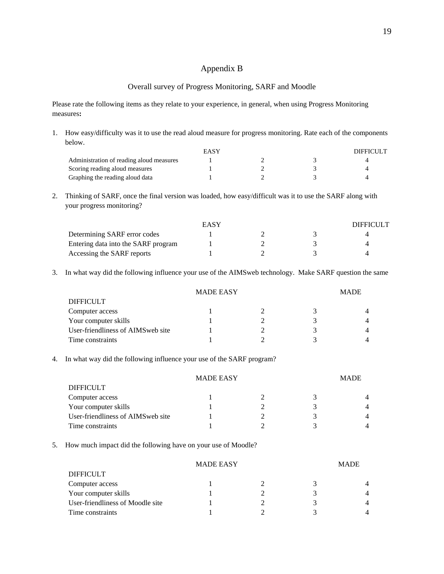## Appendix B

#### Overall survey of Progress Monitoring, SARF and Moodle

Please rate the following items as they relate to your experience, in general, when using Progress Monitoring measures**:** 

- 1. How easy/difficulty was it to use the read aloud measure for progress monitoring. Rate each of the components below. EASY DIFFICULT Administration of reading aloud measures 1 2 3 3 4 Scoring reading aloud measures 1 2 3 3 4 Graphing the reading aloud data 1 2 3 4 4
- 2. Thinking of SARF, once the final version was loaded, how easy/difficult was it to use the SARF along with your progress monitoring?

|                                     | EASY |  | DIFFICULT |
|-------------------------------------|------|--|-----------|
| Determining SARF error codes        |      |  |           |
| Entering data into the SARF program |      |  |           |
| Accessing the SARF reports          |      |  |           |

3. In what way did the following influence your use of the AIMSweb technology. Make SARF question the same

| <b>MADE EASY</b>                   |  |  | <b>MADE</b> |                |
|------------------------------------|--|--|-------------|----------------|
| <b>DIFFICULT</b>                   |  |  |             |                |
| Computer access                    |  |  |             |                |
| Your computer skills               |  |  |             | $\overline{4}$ |
| User-friendliness of AIMS web site |  |  |             | $\overline{4}$ |
| Time constraints                   |  |  |             |                |

4. In what way did the following influence your use of the SARF program?

|                                    | <b>MADE EASY</b> |  | <b>MADE</b>    |
|------------------------------------|------------------|--|----------------|
| <b>DIFFICULT</b>                   |                  |  |                |
| Computer access                    |                  |  | $\overline{4}$ |
| Your computer skills               |                  |  | $\overline{4}$ |
| User-friendliness of AIMS web site |                  |  | 4              |
| Time constraints                   |                  |  |                |

5. How much impact did the following have on your use of Moodle?

| <b>MADE EASY</b>                 |  |  | <b>MADE</b> |                |
|----------------------------------|--|--|-------------|----------------|
| <b>DIFFICULT</b>                 |  |  |             |                |
| Computer access                  |  |  |             | 4              |
| Your computer skills             |  |  |             | 4              |
| User-friendliness of Moodle site |  |  |             | $\overline{4}$ |
| Time constraints                 |  |  |             | 4              |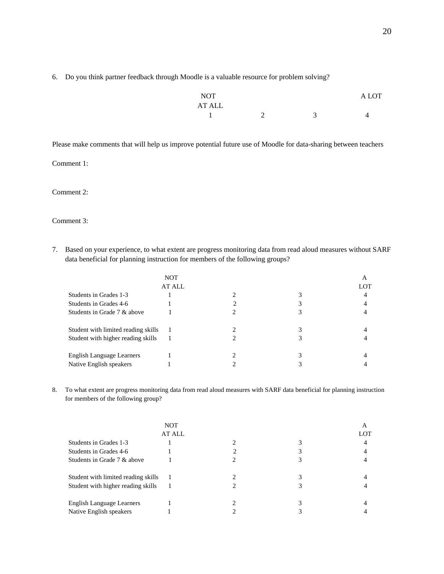6. Do you think partner feedback through Moodle is a valuable resource for problem solving?

| <b>NOT</b>                |   |   | $\cap$ T<br>$\Delta$ |
|---------------------------|---|---|----------------------|
| <b>AT ALL</b><br>--- ---- |   |   |                      |
|                           | - | ∽ |                      |

Please make comments that will help us improve potential future use of Moodle for data-sharing between teachers

Comment 1:

Comment 2:

Comment 3:

7. Based on your experience, to what extent are progress monitoring data from read aloud measures without SARF data beneficial for planning instruction for members of the following groups?

|                                     | <b>NOT</b>    |  | А   |
|-------------------------------------|---------------|--|-----|
|                                     | <b>AT ALL</b> |  | LOT |
| Students in Grades 1-3              |               |  | 4   |
| Students in Grades 4-6              |               |  |     |
| Students in Grade 7 & above         |               |  |     |
| Student with limited reading skills |               |  |     |
| Student with higher reading skills  |               |  |     |
| English Language Learners           |               |  |     |
| Native English speakers             |               |  |     |

8. To what extent are progress monitoring data from read aloud measures with SARF data beneficial for planning instruction for members of the following group?

|                                     | <b>NOT</b>    |  | A   |
|-------------------------------------|---------------|--|-----|
|                                     | <b>AT ALL</b> |  | LOT |
| Students in Grades 1-3              |               |  |     |
| Students in Grades 4-6              |               |  |     |
| Students in Grade 7 & above         |               |  |     |
| Student with limited reading skills |               |  |     |
| Student with higher reading skills  |               |  |     |
| English Language Learners           |               |  |     |
| Native English speakers             |               |  |     |